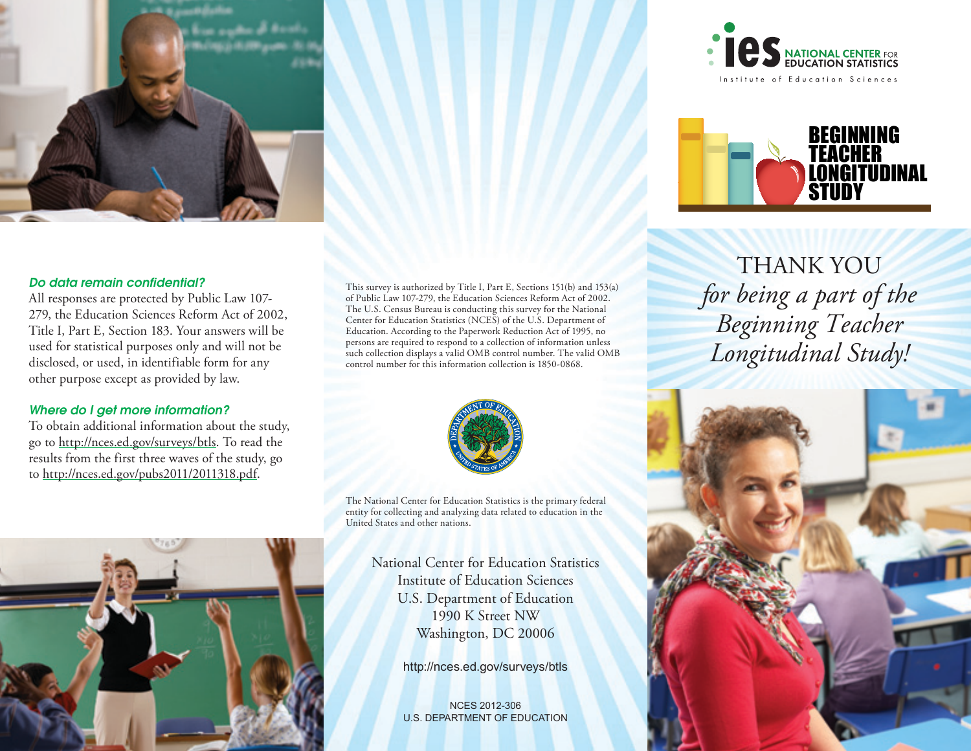



THANK YOU *for being a part of the Beginning Teacher Longitudinal Study!*

#### *Do data remain confidential?*

All responses are protected by Public Law 107- 279, the Education Sciences Reform Act of 2002, Title I, Part E, Section 183. Your answers will be used for statistical purposes only and will not be disclosed, or used, in identifiable form for any other purpose except as provided by law.

#### *Where do I get more information?*

To obtain additional information about the study, go to <http://nces.ed.gov/surveys/btls>. To read the results from the first three waves of the study, go to <http://nces.ed.gov/pubs2011/2011318.pdf>.



This survey is authorized by Title I, Part E, Sections 151(b) and 153(a) of Public Law 107-279, the Education Sciences Reform Act of 2002. The U.S. Census Bureau is conducting this survey for the National Center for Education Statistics (NCES) of the U.S. Department of Education. According to the Paperwork Reduction Act of 1995, no persons are required to respond to a collection of information unless such collection displays a valid OMB control number. The valid OMB

The National Center for Education Statistics is the primary federal entity for collecting and analyzing data related to education in the United States and other nations.

National Center for Education Statistics Institute of Education Sciences U.S. Department of Education 1990 K Street NW Washington, DC 20006

<http://nces.ed.gov/surveys/btls>

NCES 2012-306 U.S. DEPARTMENT OF EDUCATION